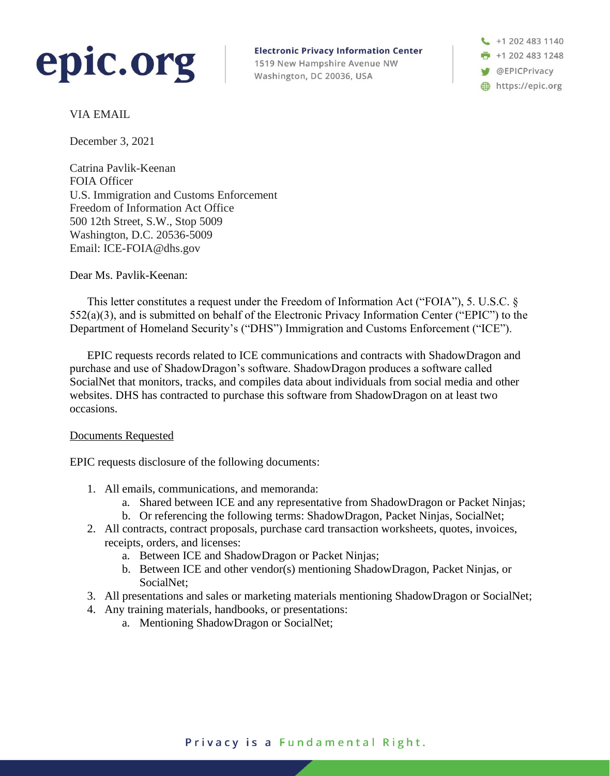

**Electronic Privacy Information Center** 1519 New Hampshire Avenue NW Washington, DC 20036, USA

+1 202 483 1140  $\frac{1}{2}$  +1 202 483 1248 **W** @EPICPrivacy https://epic.org

VIA EMAIL

December 3, 2021

Catrina Pavlik-Keenan FOIA Officer U.S. Immigration and Customs Enforcement Freedom of Information Act Office 500 12th Street, S.W., Stop 5009 Washington, D.C. 20536-5009 Email: ICE-FOIA@dhs.gov

Dear Ms. Pavlik-Keenan:

This letter constitutes a request under the Freedom of Information Act ("FOIA"), 5. U.S.C. § 552(a)(3), and is submitted on behalf of the Electronic Privacy Information Center ("EPIC") to the Department of Homeland Security's ("DHS") Immigration and Customs Enforcement ("ICE").

EPIC requests records related to ICE communications and contracts with ShadowDragon and purchase and use of ShadowDragon's software. ShadowDragon produces a software called SocialNet that monitors, tracks, and compiles data about individuals from social media and other websites. DHS has contracted to purchase this software from ShadowDragon on at least two occasions.

#### Documents Requested

EPIC requests disclosure of the following documents:

- 1. All emails, communications, and memoranda:
	- a. Shared between ICE and any representative from ShadowDragon or Packet Ninjas;
	- b. Or referencing the following terms: ShadowDragon, Packet Ninjas, SocialNet;
- 2. All contracts, contract proposals, purchase card transaction worksheets, quotes, invoices, receipts, orders, and licenses:
	- a. Between ICE and ShadowDragon or Packet Ninjas;
	- b. Between ICE and other vendor(s) mentioning ShadowDragon, Packet Ninjas, or SocialNet;
- 3. All presentations and sales or marketing materials mentioning ShadowDragon or SocialNet;
- 4. Any training materials, handbooks, or presentations:
	- a. Mentioning ShadowDragon or SocialNet;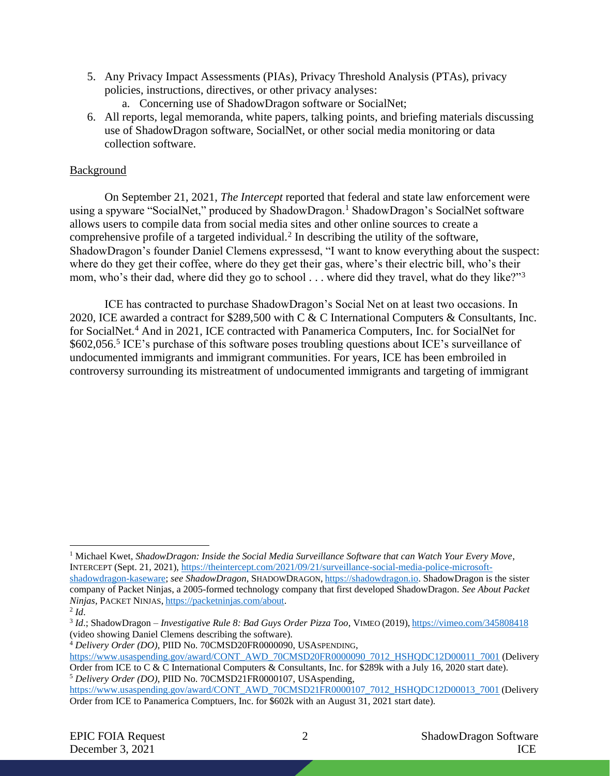- 5. Any Privacy Impact Assessments (PIAs), Privacy Threshold Analysis (PTAs), privacy policies, instructions, directives, or other privacy analyses:
	- a. Concerning use of ShadowDragon software or SocialNet;
- <span id="page-1-2"></span>6. All reports, legal memoranda, white papers, talking points, and briefing materials discussing use of ShadowDragon software, SocialNet, or other social media monitoring or data collection software.

# **Background**

On September 21, 2021, *The Intercept* reported that federal and state law enforcement were using a spyware "SocialNet," produced by ShadowDragon.<sup>1</sup> ShadowDragon's SocialNet software allows users to compile data from social media sites and other online sources to create a comprehensive profile of a targeted individual.<sup>2</sup> In describing the utility of the software, ShadowDragon's founder Daniel Clemens expressesd, "I want to know everything about the suspect: where do they get their coffee, where do they get their gas, where's their electric bill, who's their mom, who's their dad, where did they go to school . . . where did they travel, what do they like?"<sup>3</sup>

<span id="page-1-1"></span><span id="page-1-0"></span>ICE has contracted to purchase ShadowDragon's Social Net on at least two occasions. In 2020, ICE awarded a contract for \$289,500 with C & C International Computers & Consultants, Inc. for SocialNet.<sup>4</sup> And in 2021, ICE contracted with Panamerica Computers, Inc. for SocialNet for \$602,056.<sup>5</sup> ICE's purchase of this software poses troubling questions about ICE's surveillance of undocumented immigrants and immigrant communities. For years, ICE has been embroiled in controversy surrounding its mistreatment of undocumented immigrants and targeting of immigrant

<sup>4</sup> *Delivery Order (DO)*, PIID No. 70CMSD20FR0000090, USASPENDING,

<sup>1</sup> Michael Kwet, *ShadowDragon: Inside the Social Media Surveillance Software that can Watch Your Every Move*, INTERCEPT (Sept. 21, 2021), [https://theintercept.com/2021/09/21/surveillance-social-media-police-microsoft](https://theintercept.com/2021/09/21/surveillance-social-media-police-microsoft-shadowdragon-kaseware)[shadowdragon-kaseware;](https://theintercept.com/2021/09/21/surveillance-social-media-police-microsoft-shadowdragon-kaseware) *see ShadowDragon*, SHADOWDRAGON, [https://shadowdragon.io.](https://shadowdragon.io/) ShadowDragon is the sister company of Packet Ninjas, a 2005-formed technology company that first developed ShadowDragon. *See About Packet Ninjas*, PACKET NINJAS, [https://packetninjas.com/about.](https://packetninjas.com/about)

<sup>2</sup> *Id*.

<sup>3</sup> *Id*.; ShadowDragon *– Investigative Rule 8: Bad Guys Order Pizza Too*, VIMEO (2019), <https://vimeo.com/345808418> (video showing Daniel Clemens describing the software).

[https://www.usaspending.gov/award/CONT\\_AWD\\_70CMSD20FR0000090\\_7012\\_HSHQDC12D00011\\_7001](https://www.usaspending.gov/award/CONT_AWD_70CMSD20FR0000090_7012_HSHQDC12D00011_7001) (Delivery Order from ICE to C & C International Computers & Consultants, Inc. for \$289k with a July 16, 2020 start date). <sup>5</sup> *Delivery Order (DO)*, PIID No. 70CMSD21FR0000107, USAspending,

[https://www.usaspending.gov/award/CONT\\_AWD\\_70CMSD21FR0000107\\_7012\\_HSHQDC12D00013\\_7001](https://www.usaspending.gov/award/CONT_AWD_70CMSD21FR0000107_7012_HSHQDC12D00013_7001) (Delivery Order from ICE to Panamerica Comptuers, Inc. for \$602k with an August 31, 2021 start date).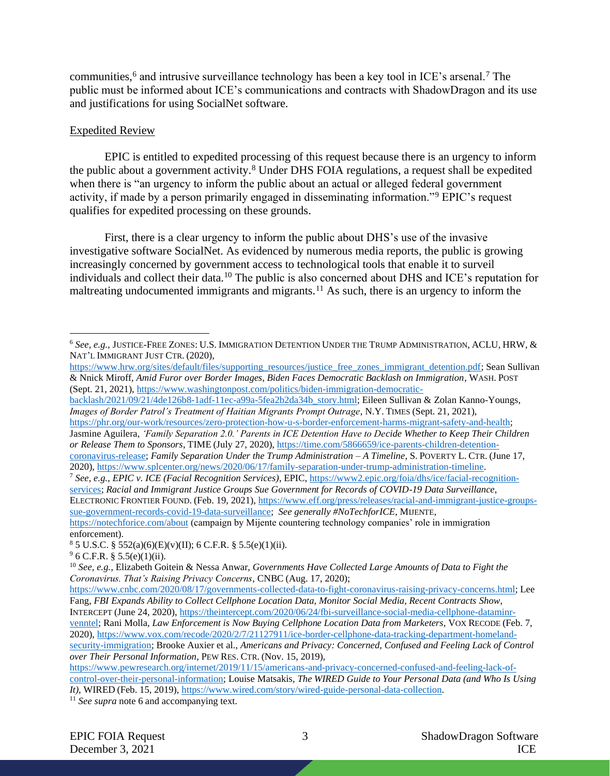<span id="page-2-0"></span>communities,<sup>6</sup> and intrusive surveillance technology has been a key tool in ICE's arsenal.<sup>7</sup> The public must be informed about ICE's communications and contracts with ShadowDragon and its use and justifications for using SocialNet software.

### Expedited Review

EPIC is entitled to expedited processing of this request because there is an urgency to inform the public about a government activity.<sup>8</sup> Under DHS FOIA regulations, a request shall be expedited when there is "an urgency to inform the public about an actual or alleged federal government activity, if made by a person primarily engaged in disseminating information."<sup>9</sup> EPIC's request qualifies for expedited processing on these grounds.

First, there is a clear urgency to inform the public about DHS's use of the invasive investigative software SocialNet. As evidenced by numerous media reports, the public is growing increasingly concerned by government access to technological tools that enable it to surveil individuals and collect their data.<sup>10</sup> The public is also concerned about DHS and ICE's reputation for maltreating undocumented immigrants and migrants.<sup>11</sup> As such, there is an urgency to inform the

[https://phr.org/our-work/resources/zero-protection-how-u-s-border-enforcement-harms-migrant-safety-and-health;](https://phr.org/our-work/resources/zero-protection-how-u-s-border-enforcement-harms-migrant-safety-and-health) Jasmine Aguilera, *'Family Separation 2.0.' Parents in ICE Detention Have to Decide Whether to Keep Their Children or Release Them to Sponsors*, TIME (July 27, 2020), [https://time.com/5866659/ice-parents-children-detention](https://time.com/5866659/ice-parents-children-detention-coronavirus-release)[coronavirus-release;](https://time.com/5866659/ice-parents-children-detention-coronavirus-release) *Family Separation Under the Trump Administration – A Timeline*, S.POVERTY L. CTR. (June 17, 2020), [https://www.splcenter.org/news/2020/06/17/family-separation-under-trump-administration-timeline.](https://www.splcenter.org/news/2020/06/17/family-separation-under-trump-administration-timeline)

<sup>7</sup> *See, e.g.*, *EPIC v. ICE (Facial Recognition Services)*, EPIC, [https://www2.epic.org/foia/dhs/ice/facial-recognition](https://www2.epic.org/foia/dhs/ice/facial-recognition-services)[services;](https://www2.epic.org/foia/dhs/ice/facial-recognition-services) *Racial and Immigrant Justice Groups Sue Government for Records of COVID-19 Data Surveillance*, ELECTRONIC FRONTIER FOUND. (Feb. 19, 2021), [https://www.eff.org/press/releases/racial-and-immigrant-justice-groups](https://www.eff.org/press/releases/racial-and-immigrant-justice-groups-sue-government-records-covid-19-data-surveillance)[sue-government-records-covid-19-data-surveillance;](https://www.eff.org/press/releases/racial-and-immigrant-justice-groups-sue-government-records-covid-19-data-surveillance) *See generally #NoTechforICE*, MIJENTE, <https://notechforice.com/about> (campaign by Mijente countering technology companies' role in immigration enforcement).

 $85 \text{ U.S.C.}$  §  $552(a)(6)(E)(v)(II)$ ; 6 C.F.R. § 5.5(e)(1)(ii).

*over Their Personal Information*, PEW RES. CTR. (Nov. 15, 2019),

<sup>11</sup> *See supra* not[e 6](#page-2-0) and accompanying text.

<sup>6</sup> *See, e.g.*, JUSTICE-FREE ZONES: U.S. IMMIGRATION DETENTION UNDER THE TRUMP ADMINISTRATION, ACLU, HRW, & NAT'L IMMIGRANT JUST CTR. (2020),

[https://www.hrw.org/sites/default/files/supporting\\_resources/justice\\_free\\_zones\\_immigrant\\_detention.pdf;](https://www.hrw.org/sites/default/files/supporting_resources/justice_free_zones_immigrant_detention.pdf) Sean Sullivan & Nnick Miroff, *Amid Furor over Border Images, Biden Faces Democratic Backlash on Immigration*, WASH.POST (Sept. 21, 2021), [https://www.washingtonpost.com/politics/biden-immigration-democratic-](https://www.washingtonpost.com/politics/biden-immigration-democratic-backlash/2021/09/21/4de126b8-1adf-11ec-a99a-5fea2b2da34b_story.html)

[backlash/2021/09/21/4de126b8-1adf-11ec-a99a-5fea2b2da34b\\_story.html;](https://www.washingtonpost.com/politics/biden-immigration-democratic-backlash/2021/09/21/4de126b8-1adf-11ec-a99a-5fea2b2da34b_story.html) Eileen Sullivan & Zolan Kanno-Youngs, *Images of Border Patrol's Treatment of Haitian Migrants Prompt Outrage*, N.Y. TIMES (Sept. 21, 2021),

 $9^9$  6 C.F.R. § 5.5(e)(1)(ii).

<sup>10</sup> *See, e.g.*, Elizabeth Goitein & Nessa Anwar, *Governments Have Collected Large Amounts of Data to Fight the Coronavirus. That's Raising Privacy Concerns*, CNBC (Aug. 17, 2020);

[https://www.cnbc.com/2020/08/17/governments-collected-data-to-fight-coronavirus-raising-privacy-concerns.html;](https://www.cnbc.com/2020/08/17/governments-collected-data-to-fight-coronavirus-raising-privacy-concerns.html) Lee Fang, *FBI Expands Ability to Collect Cellphone Location Data, Monitor Social Media, Recent Contracts Show*, INTERCEPT (June 24, 2020)[, https://theintercept.com/2020/06/24/fbi-surveillance-social-media-cellphone-dataminr](https://theintercept.com/2020/06/24/fbi-surveillance-social-media-cellphone-dataminr-venntel)[venntel;](https://theintercept.com/2020/06/24/fbi-surveillance-social-media-cellphone-dataminr-venntel) Rani Molla, *Law Enforcement is Now Buying Cellphone Location Data from Marketers*, VOX RECODE (Feb. 7,

<sup>2020),</sup> [https://www.vox.com/recode/2020/2/7/21127911/ice-border-cellphone-data-tracking-department-homeland](https://www.vox.com/recode/2020/2/7/21127911/ice-border-cellphone-data-tracking-department-homeland-security-immigration)[security-immigration;](https://www.vox.com/recode/2020/2/7/21127911/ice-border-cellphone-data-tracking-department-homeland-security-immigration) Brooke Auxier et al., *Americans and Privacy: Concerned, Confused and Feeling Lack of Control* 

[https://www.pewresearch.org/internet/2019/11/15/americans-and-privacy-concerned-confused-and-feeling-lack-of](https://www.pewresearch.org/internet/2019/11/15/americans-and-privacy-concerned-confused-and-feeling-lack-of-control-over-their-personal-information)[control-over-their-personal-information;](https://www.pewresearch.org/internet/2019/11/15/americans-and-privacy-concerned-confused-and-feeling-lack-of-control-over-their-personal-information) Louise Matsakis, *The WIRED Guide to Your Personal Data (and Who Is Using It)*, WIRED (Feb. 15, 2019), [https://www.wired.com/story/wired-guide-personal-data-collection.](https://www.wired.com/story/wired-guide-personal-data-collection)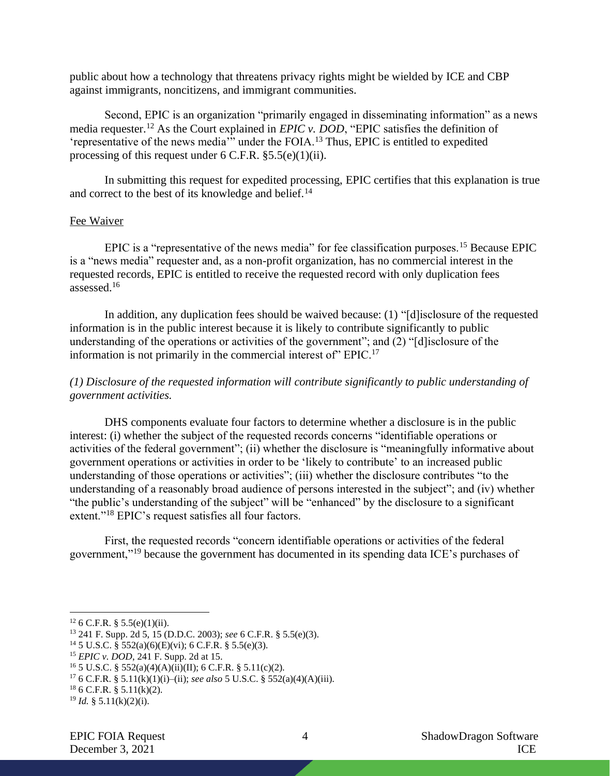public about how a technology that threatens privacy rights might be wielded by ICE and CBP against immigrants, noncitizens, and immigrant communities.

Second, EPIC is an organization "primarily engaged in disseminating information" as a news media requester.<sup>12</sup> As the Court explained in *EPIC v. DOD*, "EPIC satisfies the definition of 'representative of the news media'" under the FOIA.<sup>13</sup> Thus, EPIC is entitled to expedited processing of this request under  $6$  C.F.R.  $\S 5.5(e)(1)(ii)$ .

In submitting this request for expedited processing, EPIC certifies that this explanation is true and correct to the best of its knowledge and belief.<sup>14</sup>

#### Fee Waiver

EPIC is a "representative of the news media" for fee classification purposes.<sup>15</sup> Because EPIC is a "news media" requester and, as a non-profit organization, has no commercial interest in the requested records, EPIC is entitled to receive the requested record with only duplication fees assessed.<sup>16</sup>

In addition, any duplication fees should be waived because: (1) "[d]isclosure of the requested information is in the public interest because it is likely to contribute significantly to public understanding of the operations or activities of the government"; and (2) "[d]isclosure of the information is not primarily in the commercial interest of" EPIC.<sup>17</sup>

# *(1) Disclosure of the requested information will contribute significantly to public understanding of government activities.*

DHS components evaluate four factors to determine whether a disclosure is in the public interest: (i) whether the subject of the requested records concerns "identifiable operations or activities of the federal government"; (ii) whether the disclosure is "meaningfully informative about government operations or activities in order to be 'likely to contribute' to an increased public understanding of those operations or activities"; (iii) whether the disclosure contributes "to the understanding of a reasonably broad audience of persons interested in the subject"; and (iv) whether "the public's understanding of the subject" will be "enhanced" by the disclosure to a significant extent."<sup>18</sup> EPIC's request satisfies all four factors.

First, the requested records "concern identifiable operations or activities of the federal government,"<sup>19</sup> because the government has documented in its spending data ICE's purchases of

 $126$  C.F.R. § 5.5(e)(1)(ii).

<sup>13</sup> 241 F. Supp. 2d 5, 15 (D.D.C. 2003); *see* 6 C.F.R. § 5.5(e)(3).

<sup>&</sup>lt;sup>14</sup> 5 U.S.C. § 552(a)(6)(E)(vi); 6 C.F.R. § 5.5(e)(3).

<sup>15</sup> *EPIC v. DOD*, 241 F. Supp. 2d at 15.

<sup>&</sup>lt;sup>16</sup> 5 U.S.C. § 552(a)(4)(A)(ii)(II); 6 C.F.R. § 5.11(c)(2).

<sup>17</sup> 6 C.F.R. § 5.11(k)(1)(i)–(ii); *see also* 5 U.S.C. § 552(a)(4)(A)(iii).

 $18$  6 C.F.R. § 5.11(k)(2).

<sup>19</sup> *Id.* § 5.11(k)(2)(i).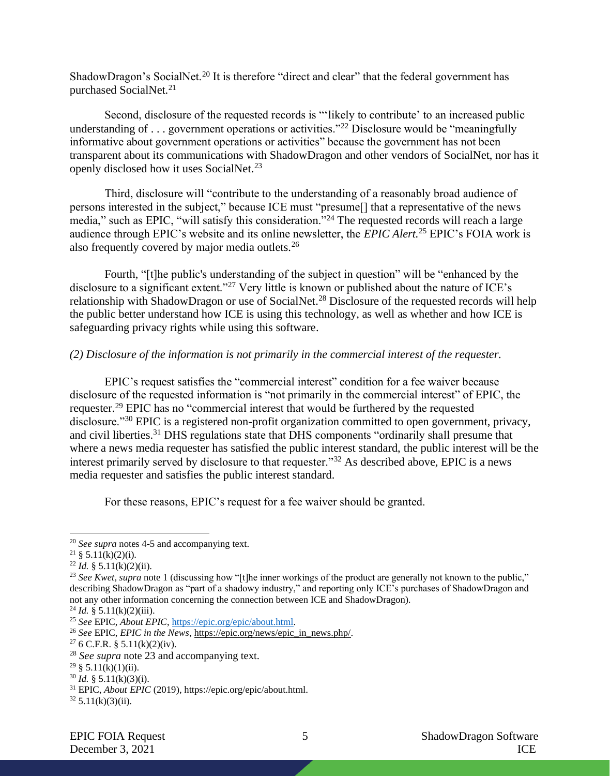ShadowDragon's SocialNet.<sup>20</sup> It is therefore "direct and clear" that the federal government has purchased SocialNet.<sup>21</sup>

Second, disclosure of the requested records is "'likely to contribute' to an increased public understanding of  $\ldots$  government operations or activities."<sup>22</sup> Disclosure would be "meaningfully informative about government operations or activities" because the government has not been transparent about its communications with ShadowDragon and other vendors of SocialNet, nor has it openly disclosed how it uses SocialNet.<sup>23</sup>

<span id="page-4-0"></span>Third, disclosure will "contribute to the understanding of a reasonably broad audience of persons interested in the subject," because ICE must "presume[] that a representative of the news media," such as EPIC, "will satisfy this consideration."<sup>24</sup> The requested records will reach a large audience through EPIC's website and its online newsletter, the *EPIC Alert.*<sup>25</sup> EPIC's FOIA work is also frequently covered by major media outlets.<sup>26</sup>

Fourth, "[t]he public's understanding of the subject in question" will be "enhanced by the disclosure to a significant extent."<sup>27</sup> Very little is known or published about the nature of ICE's relationship with ShadowDragon or use of SocialNet.<sup>28</sup> Disclosure of the requested records will help the public better understand how ICE is using this technology, as well as whether and how ICE is safeguarding privacy rights while using this software.

## *(2) Disclosure of the information is not primarily in the commercial interest of the requester.*

EPIC's request satisfies the "commercial interest" condition for a fee waiver because disclosure of the requested information is "not primarily in the commercial interest" of EPIC, the requester.<sup>29</sup> EPIC has no "commercial interest that would be furthered by the requested disclosure."<sup>30</sup> EPIC is a registered non-profit organization committed to open government, privacy, and civil liberties.<sup>31</sup> DHS regulations state that DHS components "ordinarily shall presume that where a news media requester has satisfied the public interest standard, the public interest will be the interest primarily served by disclosure to that requester."<sup>32</sup> As described above, EPIC is a news media requester and satisfies the public interest standard.

For these reasons, EPIC's request for a fee waiver should be granted.

 $^{24}$  *Id.* § 5.11(k)(2)(iii).

<sup>20</sup> *See supra* notes [4](#page-1-0)[-5](#page-1-1) and accompanying text.

<sup>&</sup>lt;sup>21</sup> § 5.11(k)(2)(i).

 $^{22}$  *Id.* § 5.11(k)(2)(ii).

<sup>&</sup>lt;sup>23</sup> See Kwet, supra note [1](#page-1-2) (discussing how "[t]he inner workings of the product are generally not known to the public," describing ShadowDragon as "part of a shadowy industry," and reporting only ICE's purchases of ShadowDragon and not any other information concerning the connection between ICE and ShadowDragon).

<sup>25</sup> *See* EPIC, *About EPIC*[, https://epic.org/epic/about.html.](https://epic.org/epic/about.html)

<sup>26</sup> *See* EPIC, *EPIC in the News*[, https://epic.org/news/epic\\_in\\_news.php/.](https://epic.org/news/epic_in_news.php/)

<sup>&</sup>lt;sup>27</sup> 6 C.F.R. § 5.11(k)(2)(iv).

<sup>28</sup> *See supra* note [23](#page-4-0) and accompanying text.

 $29 \& 5.11(k)(1)(ii)$ .

<sup>30</sup> *Id.* § 5.11(k)(3)(i).

<sup>31</sup> EPIC, *About EPIC* (2019), https://epic.org/epic/about.html.

 $32\frac{5.11(k)(3)(ii)}{i}$ .